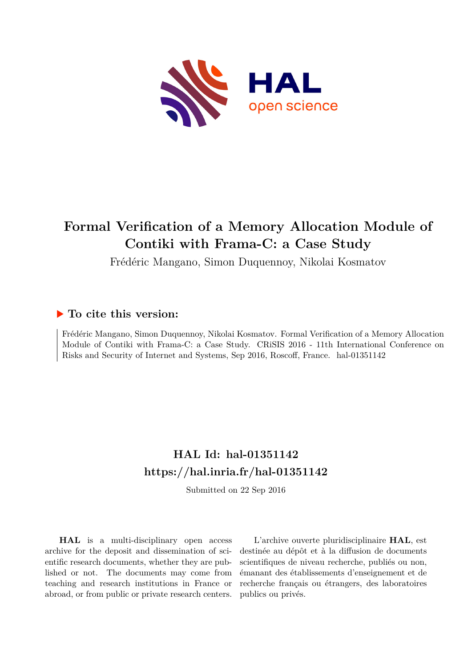

# **Formal Verification of a Memory Allocation Module of Contiki with Frama-C: a Case Study**

Frédéric Mangano, Simon Duquennoy, Nikolai Kosmatov

# **To cite this version:**

Frédéric Mangano, Simon Duquennoy, Nikolai Kosmatov. Formal Verification of a Memory Allocation Module of Contiki with Frama-C: a Case Study. CRiSIS 2016 - 11th International Conference on Risks and Security of Internet and Systems, Sep 2016, Roscoff, France. hal-01351142

# **HAL Id: hal-01351142 <https://hal.inria.fr/hal-01351142>**

Submitted on 22 Sep 2016

**HAL** is a multi-disciplinary open access archive for the deposit and dissemination of scientific research documents, whether they are published or not. The documents may come from teaching and research institutions in France or abroad, or from public or private research centers.

L'archive ouverte pluridisciplinaire **HAL**, est destinée au dépôt et à la diffusion de documents scientifiques de niveau recherche, publiés ou non, émanant des établissements d'enseignement et de recherche français ou étrangers, des laboratoires publics ou privés.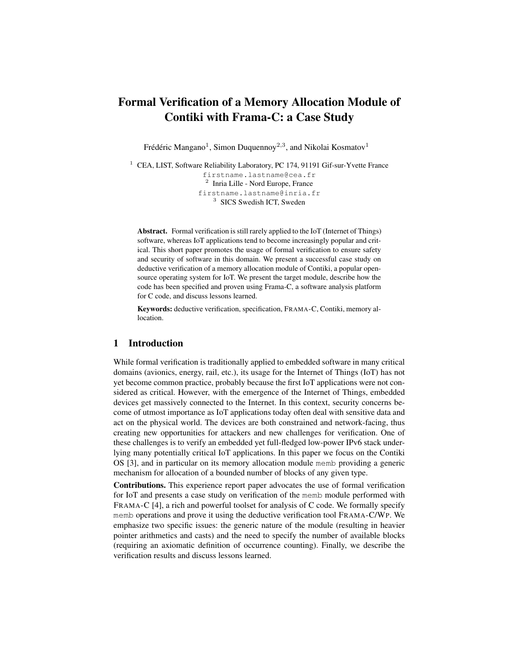# Formal Verification of a Memory Allocation Module of Contiki with Frama-C: a Case Study

Frédéric Mangano<sup>1</sup>, Simon Duquennoy<sup>2,3</sup>, and Nikolai Kosmatov<sup>1</sup>

<sup>1</sup> CEA, LIST, Software Reliability Laboratory, PC 174, 91191 Gif-sur-Yvette France firstname.lastname@cea.fr 2 Inria Lille - Nord Europe, France firstname.lastname@inria.fr <sup>3</sup> SICS Swedish ICT, Sweden

Abstract. Formal verification is still rarely applied to the IoT (Internet of Things) software, whereas IoT applications tend to become increasingly popular and critical. This short paper promotes the usage of formal verification to ensure safety and security of software in this domain. We present a successful case study on deductive verification of a memory allocation module of Contiki, a popular opensource operating system for IoT. We present the target module, describe how the code has been specified and proven using Frama-C, a software analysis platform for C code, and discuss lessons learned.

Keywords: deductive verification, specification, FRAMA-C, Contiki, memory allocation.

# 1 Introduction

While formal verification is traditionally applied to embedded software in many critical domains (avionics, energy, rail, etc.), its usage for the Internet of Things (IoT) has not yet become common practice, probably because the first IoT applications were not considered as critical. However, with the emergence of the Internet of Things, embedded devices get massively connected to the Internet. In this context, security concerns become of utmost importance as IoT applications today often deal with sensitive data and act on the physical world. The devices are both constrained and network-facing, thus creating new opportunities for attackers and new challenges for verification. One of these challenges is to verify an embedded yet full-fledged low-power IPv6 stack underlying many potentially critical IoT applications. In this paper we focus on the Contiki OS [3], and in particular on its memory allocation module memb providing a generic mechanism for allocation of a bounded number of blocks of any given type.

Contributions. This experience report paper advocates the use of formal verification for IoT and presents a case study on verification of the memb module performed with FRAMA-C [4], a rich and powerful toolset for analysis of C code. We formally specify memb operations and prove it using the deductive verification tool FRAMA-C/WP. We emphasize two specific issues: the generic nature of the module (resulting in heavier pointer arithmetics and casts) and the need to specify the number of available blocks (requiring an axiomatic definition of occurrence counting). Finally, we describe the verification results and discuss lessons learned.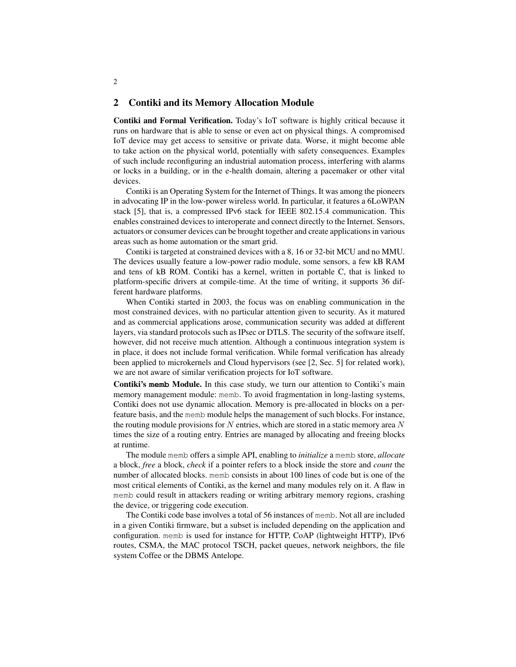# 2 Contiki and its Memory Allocation Module

Contiki and Formal Verification. Today's IoT software is highly critical because it runs on hardware that is able to sense or even act on physical things. A compromised IoT device may get access to sensitive or private data. Worse, it might become able to take action on the physical world, potentially with safety consequences. Examples of such include reconfiguring an industrial automation process, interfering with alarms or locks in a building, or in the e-health domain, altering a pacemaker or other vital devices.

Contiki is an Operating System for the Internet of Things. It was among the pioneers in advocating IP in the low-power wireless world. In particular, it features a 6LoWPAN stack [5], that is, a compressed IPv6 stack for IEEE 802.15.4 communication. This enables constrained devices to interoperate and connect directly to the Internet. Sensors, actuators or consumer devices can be brought together and create applications in various areas such as home automation or the smart grid.

Contiki is targeted at constrained devices with a 8, 16 or 32-bit MCU and no MMU. The devices usually feature a low-power radio module, some sensors, a few kB RAM and tens of kB ROM. Contiki has a kernel, written in portable C, that is linked to platform-specific drivers at compile-time. At the time of writing, it supports 36 different hardware platforms.

When Contiki started in 2003, the focus was on enabling communication in the most constrained devices, with no particular attention given to security. As it matured and as commercial applications arose, communication security was added at different layers, via standard protocols such as IPsec or DTLS. The security of the software itself, however, did not receive much attention. Although a continuous integration system is in place, it does not include formal verification. While formal verification has already been applied to microkernels and Cloud hypervisors (see [2, Sec. 5] for related work), we are not aware of similar verification projects for IoT software.

Contiki's **memb** Module. In this case study, we turn our attention to Contiki's main memory management module: memb. To avoid fragmentation in long-lasting systems, Contiki does not use dynamic allocation. Memory is pre-allocated in blocks on a perfeature basis, and the memb module helps the management of such blocks. For instance, the routing module provisions for  $N$  entries, which are stored in a static memory area  $N$ times the size of a routing entry. Entries are managed by allocating and freeing blocks at runtime.

The module memb offers a simple API, enabling to *initialize* a memb store, *allocate* a block, *free* a block, *check* if a pointer refers to a block inside the store and *count* the number of allocated blocks. memb consists in about 100 lines of code but is one of the most critical elements of Contiki, as the kernel and many modules rely on it. A flaw in memb could result in attackers reading or writing arbitrary memory regions, crashing the device, or triggering code execution.

The Contiki code base involves a total of 56 instances of memb. Not all are included in a given Contiki firmware, but a subset is included depending on the application and configuration. memb is used for instance for HTTP, CoAP (lightweight HTTP), IPv6 routes, CSMA, the MAC protocol TSCH, packet queues, network neighbors, the file system Coffee or the DBMS Antelope.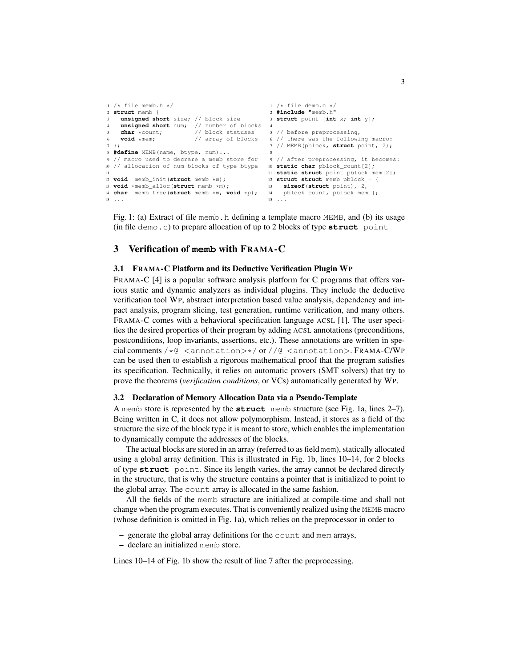```
1 /* file memb.h */
2 struct memb {
  unsigned short size; // block size
 4 unsigned short num; // number of blocks
5 char *count; // block statuses
4
 6 void *mem; // array of blocks
6 // there was the following macro:
7 };
8 #define MEMB(name, btype, num)...
 9 // macro used to decrare a memb store for
9 // after preprocessing, it becomes:
10 // allocation of num blocks of type btype
10 static char pblock_count[2];
11
12 void memb_init(struct memb *m);
13 void *memb_alloc(struct memb *m);
14 char memb_free(struct memb *m, void *p);
14 pblock_count, pblock_mem };
15 ...
                                                1 /* file demo.c */
                                               2 #include "memb.h"
                                               3 struct point {int x; int y};
                                               5 // before preprocessing,
                                               7 // MEMB(pblock, struct point, 2);
                                               8
                                               11 static struct point pblock_mem[2];
                                               12 struct struct memb pblock = {
                                               13 sizeof(struct point), 2,
                                               15 ...
```
Fig. 1: (a) Extract of file memb. h defining a template macro MEMB, and (b) its usage (in file demo.c) to prepare allocation of up to 2 blocks of type **struct** point

### 3 Verification of **memb** with FRAMA-C

#### 3.1 FRAMA-C Platform and its Deductive Verification Plugin WP

FRAMA-C [4] is a popular software analysis platform for C programs that offers various static and dynamic analyzers as individual plugins. They include the deductive verification tool WP, abstract interpretation based value analysis, dependency and impact analysis, program slicing, test generation, runtime verification, and many others. FRAMA-C comes with a behavioral specification language ACSL [1]. The user specifies the desired properties of their program by adding ACSL annotations (preconditions, postconditions, loop invariants, assertions, etc.). These annotations are written in special comments  $/*@$   $\langle$  annotation $>*/$  or  $//@$   $\langle$  annotation $>$ . FRAMA-C/WP can be used then to establish a rigorous mathematical proof that the program satisfies its specification. Technically, it relies on automatic provers (SMT solvers) that try to prove the theorems (*verification conditions*, or VCs) automatically generated by WP.

#### 3.2 Declaration of Memory Allocation Data via a Pseudo-Template

A memb store is represented by the **struct** memb structure (see Fig. 1a, lines 2–7). Being written in C, it does not allow polymorphism. Instead, it stores as a field of the structure the size of the block type it is meant to store, which enables the implementation to dynamically compute the addresses of the blocks.

The actual blocks are stored in an array (referred to as field mem), statically allocated using a global array definition. This is illustrated in Fig. 1b, lines 10–14, for 2 blocks of type **struct** point. Since its length varies, the array cannot be declared directly in the structure, that is why the structure contains a pointer that is initialized to point to the global array. The count array is allocated in the same fashion.

All the fields of the memb structure are initialized at compile-time and shall not change when the program executes. That is conveniently realized using the MEMB macro (whose definition is omitted in Fig. 1a), which relies on the preprocessor in order to

- generate the global array definitions for the count and mem arrays,
- declare an initialized memb store.

Lines 10–14 of Fig. 1b show the result of line 7 after the preprocessing.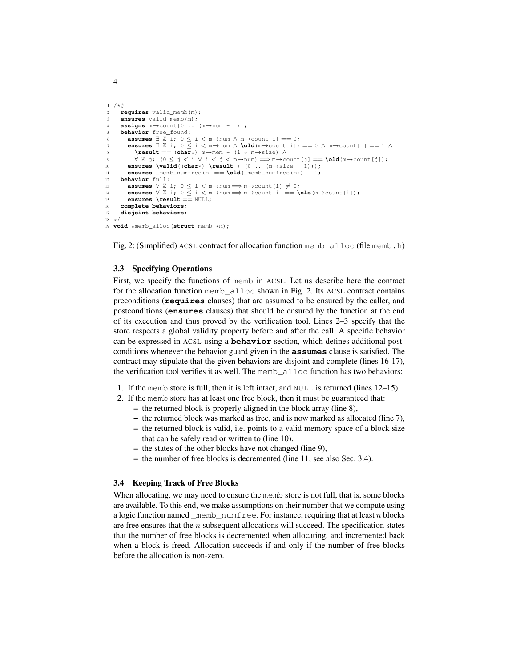```
\frac{1}{2} / \star \frac{\theta}{r}requires valid memb(m):
3 ensures valid_memb(m);
     4 assigns m→count[0 .. (m→num - 1)];
     behavior free found:
        assumes ∃ Z i; 0 ≤ i < m→num ∧ m→count[i] == 0;7 ensures ∃ Z i; 0 ≤ i < m→num ∧ \old(m→count[i]) == 0 ∧ m→count[i] == 1 ∧
           8 \result == (char*) m→mem + (i * m→size) ∧
9 ∀ Z j; (0 ≤ j < i ∨ i < j < m→num) =⇒ m→count[j] == \old(m→count[j]);
ensures \valid((char) \result + (0 \dots (m \rightarrow size - 1)));<br>11 ensures memb numfree(m) = \old( memb numfree(m) - 1;
        ensures \text{__memb__numfree(m) == } old(\text{__memb__numfree(m) - 1};12 behavior full:
13 assumes \forall \mathbb{Z} i; 0 \leq i < m \rightarrow num \implies m \rightarrow count[i] \neq 0;14 ensures \forall \mathbb{Z} i; 0 \leq i < m \rightarrow num \implies m \rightarrow count[i] == \text{old}(m \rightarrow count[i]);
15 ensures \result == NULL;
16 complete behaviors;
17 disjoint behaviors;
18 */
19 void *memb_alloc(struct memb *m);
```
Fig. 2: (Simplified) ACSL contract for allocation function memb\_alloc (file memb.h)

### 3.3 Specifying Operations

4

First, we specify the functions of memb in ACSL. Let us describe here the contract for the allocation function memb  $\alpha$ lloc shown in Fig. 2. Its ACSL contract contains preconditions (**requires** clauses) that are assumed to be ensured by the caller, and postconditions (**ensures** clauses) that should be ensured by the function at the end of its execution and thus proved by the verification tool. Lines 2–3 specify that the store respects a global validity property before and after the call. A specific behavior can be expressed in ACSL using a **behavior** section, which defines additional postconditions whenever the behavior guard given in the **assumes** clause is satisfied. The contract may stipulate that the given behaviors are disjoint and complete (lines 16-17), the verification tool verifies it as well. The memb\_alloc function has two behaviors:

- 1. If the memb store is full, then it is left intact, and NULL is returned (lines 12–15).
- 2. If the memb store has at least one free block, then it must be guaranteed that:
	- the returned block is properly aligned in the block array (line 8),
	- the returned block was marked as free, and is now marked as allocated (line 7),
	- the returned block is valid, i.e. points to a valid memory space of a block size that can be safely read or written to (line 10),
	- the states of the other blocks have not changed (line 9),
	- the number of free blocks is decremented (line 11, see also Sec. 3.4).

#### 3.4 Keeping Track of Free Blocks

When allocating, we may need to ensure the memb store is not full, that is, some blocks are available. To this end, we make assumptions on their number that we compute using a logic function named memb numfree. For instance, requiring that at least n blocks are free ensures that the  $n$  subsequent allocations will succeed. The specification states that the number of free blocks is decremented when allocating, and incremented back when a block is freed. Allocation succeeds if and only if the number of free blocks before the allocation is non-zero.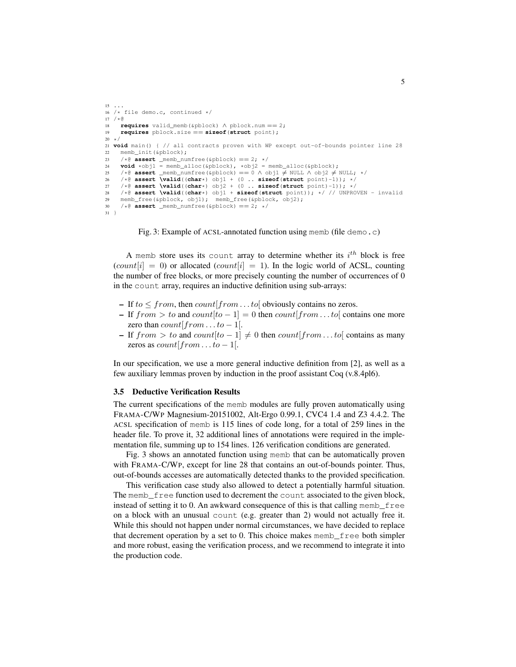```
15 ...
16 /* file demo.c, continued */
17 /\star @
18 requires valid_memb(&pblock) ∧ pblock.num == 2;
19 requires pblock.size == sizeof(struct point);
20 * /21 void main() { // all contracts proven with WP except out-of-bounds pointer line 28
22 memb_init(&pblock);
23 /*\theta assert _memb_numfree(&pblock) == 2; */<br>24 void +obil = memb alloc(&pblock) +obi2 = r
void *obj1 = memb_alloc(&pblock), *obj2 = memb_alloc(&pblock);<br>25 /*@ assert memb numfree(&pblock) == 0 \land obj1 \neq NULL \land obj2 \neq25 /*@ assert _memb_numfree(&pblock) == 0 \land obj1 \neq NULL \land obj2 \neq NULL; */<br>26 /*@ assert \valid((char*) obj1 + (0 . sizeof(struct point)-1)): */
26 /*@ assert \valid((char*) obj1 + (0 .. sizeof(struct point)-1)); */
27 /*@ assert \valid((char*) obj2 + (0 .. sizeof(struct point)-1)); */
28 /*@ assert \valid((char*) obj1 + sizeof(struct point)); */ // UNPROVEN - invalid
      memb_free(&pblock, obj1); memb_free(&pblock, obj2);
30 \quad \pi \in \mathbb{R} assert _memb_numfree(&pblock) == 2; */
31 }
```
Fig. 3: Example of ACSL-annotated function using memb (file demo.c)

A memb store uses its count array to determine whether its  $i^{th}$  block is free  $(count[i] = 0)$  or allocated  $(count[i] = 1)$ . In the logic world of ACSL, counting the number of free blocks, or more precisely counting the number of occurrences of 0 in the count array, requires an inductive definition using sub-arrays:

- If  $to \leq from$ , then  $count[from \dots to]$  obviously contains no zeros.
- If  $from > to$  and  $count[to -1] = 0$  then  $count[from \dots to]$  contains one more zero than  $count[from \dots to -1]$ .
- If  $from > to$  and  $count[to -1] \neq 0$  then  $count[from \dots to]$  contains as many zeros as  $count[from \dots to -1]$ .

In our specification, we use a more general inductive definition from [2], as well as a few auxiliary lemmas proven by induction in the proof assistant Coq (v.8.4pl6).

#### 3.5 Deductive Verification Results

The current specifications of the memb modules are fully proven automatically using FRAMA-C/WP Magnesium-20151002, Alt-Ergo 0.99.1, CVC4 1.4 and Z3 4.4.2. The ACSL specification of memb is 115 lines of code long, for a total of 259 lines in the header file. To prove it, 32 additional lines of annotations were required in the implementation file, summing up to 154 lines. 126 verification conditions are generated.

Fig. 3 shows an annotated function using memb that can be automatically proven with FRAMA-C/WP, except for line 28 that contains an out-of-bounds pointer. Thus, out-of-bounds accesses are automatically detected thanks to the provided specification.

This verification case study also allowed to detect a potentially harmful situation. The memb\_free function used to decrement the count associated to the given block, instead of setting it to 0. An awkward consequence of this is that calling memb\_free on a block with an unusual count (e.g. greater than 2) would not actually free it. While this should not happen under normal circumstances, we have decided to replace that decrement operation by a set to 0. This choice makes memb\_free both simpler and more robust, easing the verification process, and we recommend to integrate it into the production code.